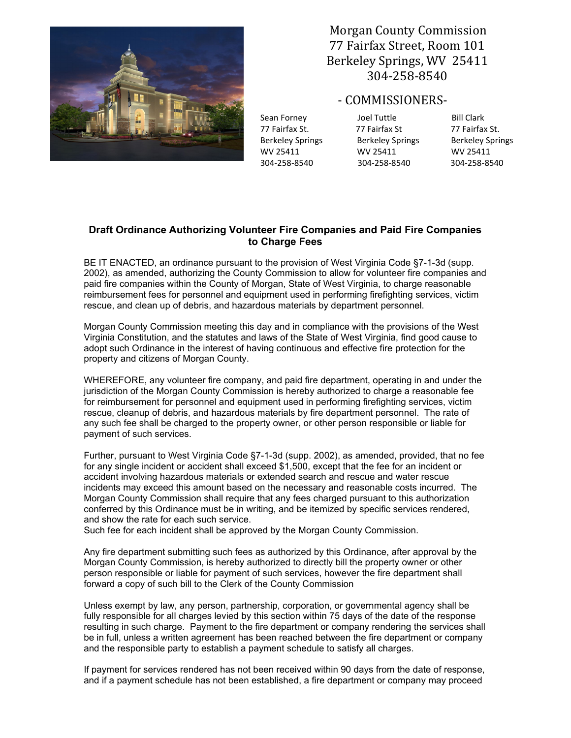

 Morgan County Commission 77 Fairfax Street, Room 101 Berkeley Springs, WV 25411 304-258-8540

- COMMISSIONERS-

77 Fairfax St. 77 Fairfax St 77 Fairfax St. Berkeley Springs Berkeley Springs Berkeley Springs WV 25411 WV 25411 WV 25411 304-258-8540 304-258-8540 304-258-8540

Sean Forney **Sean Forney** Joel Tuttle **Bill Clark** 

## **Draft Ordinance Authorizing Volunteer Fire Companies and Paid Fire Companies to Charge Fees**

BE IT ENACTED, an ordinance pursuant to the provision of West Virginia Code §7-1-3d (supp. 2002), as amended, authorizing the County Commission to allow for volunteer fire companies and paid fire companies within the County of Morgan, State of West Virginia, to charge reasonable reimbursement fees for personnel and equipment used in performing firefighting services, victim rescue, and clean up of debris, and hazardous materials by department personnel.

Morgan County Commission meeting this day and in compliance with the provisions of the West Virginia Constitution, and the statutes and laws of the State of West Virginia, find good cause to adopt such Ordinance in the interest of having continuous and effective fire protection for the property and citizens of Morgan County.

WHEREFORE, any volunteer fire company, and paid fire department, operating in and under the jurisdiction of the Morgan County Commission is hereby authorized to charge a reasonable fee for reimbursement for personnel and equipment used in performing firefighting services, victim rescue, cleanup of debris, and hazardous materials by fire department personnel. The rate of any such fee shall be charged to the property owner, or other person responsible or liable for payment of such services.

Further, pursuant to West Virginia Code §7-1-3d (supp. 2002), as amended, provided, that no fee for any single incident or accident shall exceed \$1,500, except that the fee for an incident or accident involving hazardous materials or extended search and rescue and water rescue incidents may exceed this amount based on the necessary and reasonable costs incurred. The Morgan County Commission shall require that any fees charged pursuant to this authorization conferred by this Ordinance must be in writing, and be itemized by specific services rendered, and show the rate for each such service.

Such fee for each incident shall be approved by the Morgan County Commission.

Any fire department submitting such fees as authorized by this Ordinance, after approval by the Morgan County Commission, is hereby authorized to directly bill the property owner or other person responsible or liable for payment of such services, however the fire department shall forward a copy of such bill to the Clerk of the County Commission

Unless exempt by law, any person, partnership, corporation, or governmental agency shall be fully responsible for all charges levied by this section within 75 days of the date of the response resulting in such charge. Payment to the fire department or company rendering the services shall be in full, unless a written agreement has been reached between the fire department or company and the responsible party to establish a payment schedule to satisfy all charges.

If payment for services rendered has not been received within 90 days from the date of response, and if a payment schedule has not been established, a fire department or company may proceed